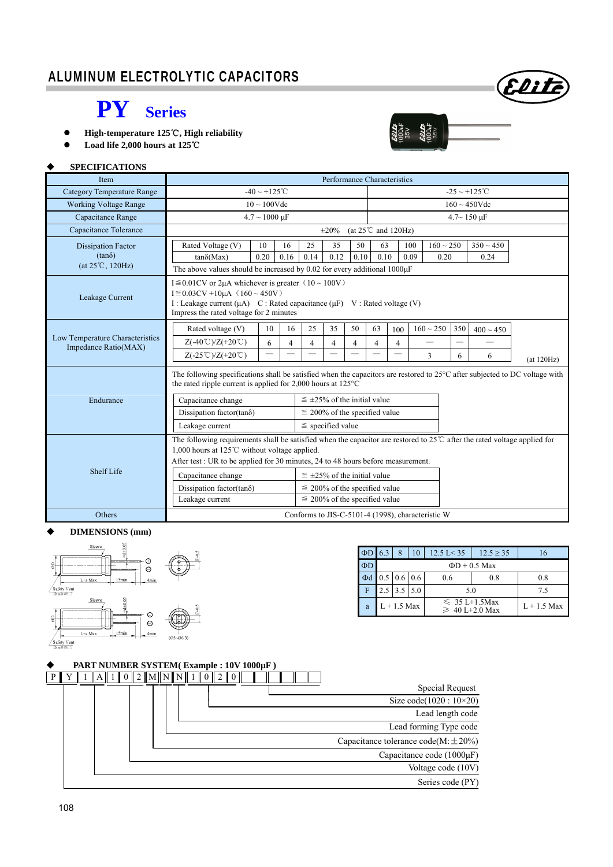

22:15<br>000uF<br>235V<br>22:25

## **PY Series**

● High-temperature 125℃, High reliability

**Load life 2,000 hours at 125**℃

### **SPECIFICATIONS**

| <b>Item</b>                       | Performance Characteristics                                                                                                                                                                                                                                                                                                         |                          |                |                                    |                                    |                                                    |      |                          |      |                                                   |                    |                    |            |  |  |
|-----------------------------------|-------------------------------------------------------------------------------------------------------------------------------------------------------------------------------------------------------------------------------------------------------------------------------------------------------------------------------------|--------------------------|----------------|------------------------------------|------------------------------------|----------------------------------------------------|------|--------------------------|------|---------------------------------------------------|--------------------|--------------------|------------|--|--|
| <b>Category Temperature Range</b> |                                                                                                                                                                                                                                                                                                                                     | $-40 \sim +125$ °C       |                |                                    |                                    |                                                    |      |                          |      |                                                   |                    | $-25 \sim +125$ °C |            |  |  |
| <b>Working Voltage Range</b>      |                                                                                                                                                                                                                                                                                                                                     | $10 \sim 100$ Vdc        |                |                                    |                                    |                                                    |      |                          |      |                                                   | $160 \sim 450$ Vdc |                    |            |  |  |
| Capacitance Range                 | $4.7 \sim 1000 \text{ }\mu\text{F}$                                                                                                                                                                                                                                                                                                 |                          |                |                                    |                                    |                                                    |      |                          |      |                                                   |                    | $4.7 - 150 \mu F$  |            |  |  |
| Capacitance Tolerance             | (at $25^{\circ}$ C and $120\text{Hz}$ )<br>$\pm 20\%$                                                                                                                                                                                                                                                                               |                          |                |                                    |                                    |                                                    |      |                          |      |                                                   |                    |                    |            |  |  |
| <b>Dissipation Factor</b>         | Rated Voltage (V)                                                                                                                                                                                                                                                                                                                   | 10                       | 16             | 25                                 | 35                                 | 50                                                 | 63   |                          | 100  | $160 \sim 250$                                    |                    | $350 \sim 450$     |            |  |  |
| $(tan\delta)$                     | $tan\delta(Max)$                                                                                                                                                                                                                                                                                                                    | 0.20                     | 0.16           | 0.14                               | 0.12                               | 0.10                                               | 0.10 |                          | 0.09 | 0.20                                              | 0.24               |                    |            |  |  |
| $(at 25^{\circ}C, 120Hz)$         | The above values should be increased by 0.02 for every additional $1000\mu$ F                                                                                                                                                                                                                                                       |                          |                |                                    |                                    |                                                    |      |                          |      |                                                   |                    |                    |            |  |  |
| Leakage Current                   | I $\leq$ 0.01CV or 2 $\mu$ A whichever is greater (10 ~ 100V)<br>$I \le 0.03CV + 10\mu A$ (160 ~ 450V)<br>I: Leakage current $(\mu A)$ C: Rated capacitance $(\mu F)$ V: Rated voltage (V)<br>Impress the rated voltage for 2 minutes                                                                                               |                          |                |                                    |                                    |                                                    |      |                          |      |                                                   |                    |                    |            |  |  |
|                                   | Rated voltage (V)                                                                                                                                                                                                                                                                                                                   | 10                       | 16             | 25                                 | 35                                 | 50                                                 | 63   | $160 \sim 250$<br>100    |      |                                                   | 350                | $400 \sim 450$     |            |  |  |
| Low Temperature Characteristics   | $Z(-40^{\circ}\text{C})/Z(+20^{\circ}\text{C})$                                                                                                                                                                                                                                                                                     | 6                        | $\overline{4}$ | 4                                  | $\overline{4}$                     | $\overline{4}$<br>$\overline{4}$<br>$\overline{4}$ |      |                          |      |                                                   |                    |                    |            |  |  |
| Impedance Ratio(MAX)              | $Z(-25^{\circ}\text{C})/Z(+20^{\circ}\text{C})$                                                                                                                                                                                                                                                                                     | $\overline{\phantom{0}}$ |                |                                    |                                    |                                                    |      | $\overline{\phantom{0}}$ |      | 3                                                 | 6                  | 6                  | (at 120Hz) |  |  |
|                                   | The following specifications shall be satisfied when the capacitors are restored to 25°C after subjected to DC voltage with<br>the rated ripple current is applied for $2,000$ hours at $125^{\circ}$ C                                                                                                                             |                          |                |                                    |                                    |                                                    |      |                          |      |                                                   |                    |                    |            |  |  |
| Endurance                         | Capacitance change                                                                                                                                                                                                                                                                                                                  |                          |                | $\leq$ ±25% of the initial value   |                                    |                                                    |      |                          |      |                                                   |                    |                    |            |  |  |
|                                   | Dissipation factor(tan $\delta$ )<br>$\leq$ 200% of the specified value                                                                                                                                                                                                                                                             |                          |                |                                    |                                    |                                                    |      |                          |      |                                                   |                    |                    |            |  |  |
|                                   | Leakage current                                                                                                                                                                                                                                                                                                                     |                          |                | $\le$ specified value              |                                    |                                                    |      |                          |      |                                                   |                    |                    |            |  |  |
| Shelf Life                        | The following requirements shall be satisfied when the capacitor are restored to $25^{\circ}$ after the rated voltage applied for<br>1,000 hours at 125℃ without voltage applied.<br>After test : UR to be applied for 30 minutes, 24 to 48 hours before measurement.<br>$\leq \pm 25\%$ of the initial value<br>Capacitance change |                          |                |                                    |                                    |                                                    |      |                          |      |                                                   |                    |                    |            |  |  |
|                                   | Dissipation factor(tano)                                                                                                                                                                                                                                                                                                            |                          |                |                                    | $\leq$ 200% of the specified value |                                                    |      |                          |      |                                                   |                    |                    |            |  |  |
|                                   | Leakage current                                                                                                                                                                                                                                                                                                                     |                          |                | $\leq$ 200% of the specified value |                                    |                                                    |      |                          |      |                                                   |                    |                    |            |  |  |
| Others                            |                                                                                                                                                                                                                                                                                                                                     |                          |                |                                    |                                    |                                                    |      |                          |      | Conforms to JIS-C-5101-4 (1998), characteristic W |                    |                    |            |  |  |

#### **DIMENSIONS (mm)**



| $\Phi$ D 6.3 |                    |                               | 10 | $12.5 \text{ L} < 35$                     | $12.5 \ge 35$ |     |  |  |  |  |  |  |  |  |
|--------------|--------------------|-------------------------------|----|-------------------------------------------|---------------|-----|--|--|--|--|--|--|--|--|
| ΦD           | $\Phi$ D + 0.5 Max |                               |    |                                           |               |     |  |  |  |  |  |  |  |  |
| $\Phi$ d     |                    | $0.5 \,   \, 0.6 \,   \, 0.6$ |    | 0.6                                       | 0.8           | 0.8 |  |  |  |  |  |  |  |  |
| F            | 2.5                | $3.5$ 5.0                     |    | 5.0                                       | 75            |     |  |  |  |  |  |  |  |  |
| a            |                    | $L + 1.5$ Max                 |    | $\leq 35$ L+1.5Max<br>$\geq 40$ L+2.0 Max | $L + 1.5$ Max |     |  |  |  |  |  |  |  |  |

|  | PART NUMBER SYSTEM(Example: 10V 1000µF) |  |  |                      |  |  |  |  |  |  |  |  |  |  |  |  |  |  |  |  |                                          |  |                        |
|--|-----------------------------------------|--|--|----------------------|--|--|--|--|--|--|--|--|--|--|--|--|--|--|--|--|------------------------------------------|--|------------------------|
|  |                                         |  |  | $2$ $\text{MININI1}$ |  |  |  |  |  |  |  |  |  |  |  |  |  |  |  |  |                                          |  |                        |
|  |                                         |  |  |                      |  |  |  |  |  |  |  |  |  |  |  |  |  |  |  |  | Special Request                          |  |                        |
|  |                                         |  |  |                      |  |  |  |  |  |  |  |  |  |  |  |  |  |  |  |  |                                          |  | Size code(1020: 10×20) |
|  |                                         |  |  |                      |  |  |  |  |  |  |  |  |  |  |  |  |  |  |  |  | Lead length code                         |  |                        |
|  |                                         |  |  |                      |  |  |  |  |  |  |  |  |  |  |  |  |  |  |  |  | Lead forming Type code                   |  |                        |
|  |                                         |  |  |                      |  |  |  |  |  |  |  |  |  |  |  |  |  |  |  |  | Capacitance tolerance $code(M:\pm 20\%)$ |  |                        |
|  |                                         |  |  |                      |  |  |  |  |  |  |  |  |  |  |  |  |  |  |  |  | Capacitance code $(1000\mu F)$           |  |                        |
|  |                                         |  |  |                      |  |  |  |  |  |  |  |  |  |  |  |  |  |  |  |  | Voltage code (10V)                       |  |                        |
|  |                                         |  |  |                      |  |  |  |  |  |  |  |  |  |  |  |  |  |  |  |  | Series code (PY)                         |  |                        |